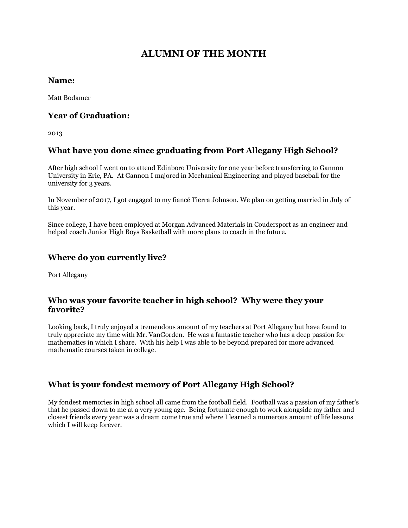# **ALUMNI OF THE MONTH**

#### **Name:**

Matt Bodamer

#### **Year of Graduation:**

2013

# **What have you done since graduating from Port Allegany High School?**

After high school I went on to attend Edinboro University for one year before transferring to Gannon University in Erie, PA. At Gannon I majored in Mechanical Engineering and played baseball for the university for 3 years.

In November of 2017, I got engaged to my fiancé Tierra Johnson. We plan on getting married in July of this year.

Since college, I have been employed at Morgan Advanced Materials in Coudersport as an engineer and helped coach Junior High Boys Basketball with more plans to coach in the future.

# **Where do you currently live?**

Port Allegany

#### **Who was your favorite teacher in high school? Why were they your favorite?**

Looking back, I truly enjoyed a tremendous amount of my teachers at Port Allegany but have found to truly appreciate my time with Mr. VanGorden. He was a fantastic teacher who has a deep passion for mathematics in which I share. With his help I was able to be beyond prepared for more advanced mathematic courses taken in college.

# **What is your fondest memory of Port Allegany High School?**

My fondest memories in high school all came from the football field. Football was a passion of my father's that he passed down to me at a very young age. Being fortunate enough to work alongside my father and closest friends every year was a dream come true and where I learned a numerous amount of life lessons which I will keep forever.